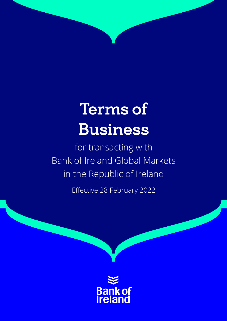# Terms of Business

for transacting with Bank of Ireland Global Markets in the Republic of Ireland

Effective 28 February 2022

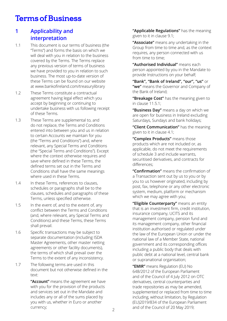# Terms of Business

# **1 Applicability and interpretation**

- 1.1 This document is our terms of business (the "Terms") and forms the basis on which we will deal with you in relation to the business covered by the Terms. The Terms replace any previous version of terms of business we have provided to you in relation to such business. The most up-to-date version of these Terms can be found on our website at www.bankofireland.com/treasurylibrary
- 1.2 These Terms constitute a contractual agreement having legal effect which you accept by beginning or continuing to undertake business with us following receipt of these Terms.
- 1.3 These Terms are supplemental to, and do not replace, the Terms and Conditions entered into between you and us in relation to certain Accounts we maintain for you (the "Terms and Conditions") and, where relevant, any Special Terms and Conditions (the "Special Terms and Conditions"). Except where the context otherwise requires and save where defined in these Terms, the defined terms set out in the Terms and Conditions shall have the same meanings where used in these Terms.
- 1.4 In these Terms, references to clauses, schedules or paragraphs shall be to the clauses, schedules and paragraphs of these Terms, unless specified otherwise.
- 1.5 In the event of, and to the extent of, any conflict between the Terms and Conditions (and, where relevant, any Special Terms and Conditions) and these Terms, these Terms shall prevail.
- 1.6 Specific transactions may be subject to separate documentation (including ISDA Master Agreements, other master netting agreements or other facility documents), the terms of which shall prevail over the Terms to the extent of any inconsistency.
- 1.7 The following terms are used in this document but not otherwise defined in the text:

 **"Account"** means the agreement we have with you for the provision of the products and services set out in the Mandate and includes any or all of the sums placed by you with us, whether in Euro or another currency;

**"Applicable Regulations"** has the meaning given to it in clause 9.1;

 **"Associate"** means any undertaking in the Group from time to time and, as the context requires, any person connected with us from time to time;

**"Authorised Individual"** means each person appointed by you in the Mandate to provide Instructions on your behalf;

**"Bank", "Bank of Ireland", "our", "us"** or **"we"** means the Governor and Company of the Bank of Ireland;

**"Breakage Cost"** has the meaning given to in clause 11.5.1;

**"Business Day"** means a day on which we are open for business in Ireland excluding Saturdays, Sundays and bank holidays;

**"Client Communication"** has the meaning given to it in clause 4.1;

**"Complex Products"** means those products which are not included or, as applicable, do not meet the requirements of schedule 3 and include warrants, securitised derivatives, and contracts for differences;

**"Confirmation"** means the confirmation of a Transaction sent out by us to you or by you to us however originated, including by post, fax, telephone or any other electronic system, medium, platform or mechanism which we may agree with you;

 **"Eligible Counterparty"** means an entity that is an investment firm, credit institution, insurance company, UCITS and its management company, pension fund and its management company, other financial institution authorised or regulated under the law of the European Union or under the national law of a Member State, national government and its corresponding offices including a public body that deals with public debt at a national level, central bank or supranational organisation;

 **"EMIR"** means Regulation (EU) No 648/2012 of the European Parliament and of the Council of 4 July 2012 on OTC derivatives, central counterparties and trade repositories as may be amended, supplemented or replaced from time to time including, without limitation, by Regulation (EU)2019/834 of the European Parliament and of the Council of 20 May 2019;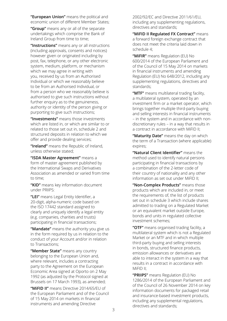**"European Union"** means the political and economic union of different Member States;

**"Group"** means any or all of the separate undertakings which comprise the Bank of Ireland Group from time to time;

**"Instructions"** means any or all instructions (including approvals, consents and notices) however given or originated including by post, fax, telephone, or any other electronic system, medium, platform, or mechanism which we may agree in writing with you, received by us from an Authorised Individual or which we reasonably believe to be from an Authorised Individual, or from a person who we reasonably believe is authorised to give such instructions without further enquiry as to the genuineness, authority or identity of the person giving or purporting to give such instructions;

**"Investments"** means those investments which are listed in, or which are similar to or related to those set out in, schedule 2 and structured deposits in relation to which we offer and provide dealing services;

**"Ireland"** means the Republic of Ireland, unless otherwise stated;

**"ISDA Master Agreement"** means a form of master agreement published by the International Swaps and Derivatives Association as amended or varied from time to time;

**"KID"** means key information document under PRIIPS:

**"LEI"** means Legal Entity Identifier, a 20-digit, alpha-numeric code based on the ISO 17442 standard assigned to clearly and uniquely identify a legal entity (e.g. companies, charities and trusts) participating in financial transactions;

 **"Mandate"** means the authority you give us in the form required by us in relation to the conduct of your Account and/or in relation to Transactions;

**"Member State"** means any country belonging to the European Union and, where relevant, includes a contracting party to the Agreement on the European Economic Area signed at Oporto on 2 May 1992 (as adjusted by the Protocol signed at Brussels on 17 March 1993), as amended;

**"MiFID II"** means Directive 2014/65/EU of the European Parliament and of the Council of 15 May 2014 on markets in financial instruments and amending Directive

2002/92/EC and Directive 2011/61/EU, including any supplementing regulations, directives and standards;

**"MiFID II Regulated FX Contract"** means a forward foreign exchange contract that does not meet the criteria laid down in schedule 4;

**"MiFIR"** means Regulation (EU) No 600/2014 of the European Parliament and of the Council of 15 May 2014 on markets in financial instruments and amending Regulation (EU) No 648/2012, including any supplementing regulations, directives and standards;

**"MTF"** means multilateral trading facility, a multilateral system, operated by an investment firm or a market operator, which brings together multiple third-party buying and selling interests in financial instruments – in the system and in accordance with nondiscretionary rules – in a way that results in a contract in accordance with MiFID II;

**"Maturity Date"** means the day on which the term of a Transaction (where applicable) expires;

**"Natural Client Identifier"** means the method used to identify natural persons participating in financial transactions by a combination of the 2-letter code of their country of nationality and any other information as set out under MiFID II;

**"Non-Complex Products"** means those products which are included in, or meet the requirements of, the list of products set out in schedule 3 which include shares admitted to trading on a Regulated Market or an equivalent market outside Europe, bonds and units in regulated collective investment schemes;

**"OTF"** means organised trading facility, a multilateral system which is not a Regulated Market or an MTF and in which multiple third-party buying and selling interests in bonds, structured finance products, emission allowances or derivatives are able to interact in the system in a way that results in a contract in accordance with MiFID II;

**"PRIIPS"** means Regulation (EU) No 1286/2014 of the European Parliament and of the Council of 26 November 2014 on key information documents for packaged retail and insurance-based investment products, including any supplemental regulations, directives and standards;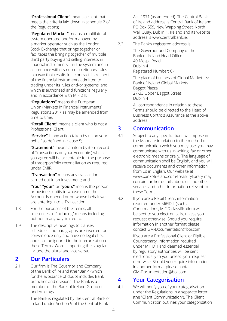**"Professional Client"** means a client that meets the criteria laid down in schedule 2 of the Regulations;

**"Regulated Market"** means a multilateral system operated and/or managed by a market operator such as the London Stock Exchange that brings together or facilitates the bringing together of multiple third party buying and selling interests in financial instruments – in the system and in accordance with its non-discretionary rules – in a way that results in a contract, in respect of the financial instruments admitted to trading under its rules and/or systems, and which is authorised and functions regularly and in accordance with MiFID II;

**"Regulations"** means the European Union (Markets in Financial Instruments) Regulations 2017 as may be amended from time to time;

**"Retail Client"** means a client who is not a Professional Client.

**"Service"** is any action taken by us on your behalf as defined in clause 5;

**"Statement"** means an item by item record of Transactions on your Account(s) which you agree will be acceptable for the purpose of trade/portfolio reconciliation as required under EMIR;

**"Transaction"** means any transaction carried out in an Investment; and

**"You" "your"** or **"yours"** means the person or business entity in whose name the Account is opened or on whose behalf we are entering into a Transaction.

- 1.8 For the purposes of the Terms, all references to "including" means including but not in any way limited to.
- 1.9 The descriptive headings to clauses, schedules and paragraphs are inserted for convenience only and have no legal effect and shall be ignored in the interpretation of these Terms. Words importing the singular include the plural and vice versa.

### **2 Our Particulars**

2.1 Our firm is The Governor and Company of the Bank of Ireland (the "Bank") which for the avoidance of doubt includes Bank branches and divisions. The Bank is a member of the Bank of Ireland Group of undertakings.

> The Bank is regulated by the Central Bank of Ireland under Section 9 of the Central Bank

Act, 1971 (as amended). The Central Bank of Ireland address is Central Bank of Ireland PO Box 559, New Wapping Street, North Wall Quay, Dublin 1, Ireland and its website address is www.centralbank.ie.

2.2 The Bank's registered address is:

The Governor and Company of the Bank of Ireland Head Office 40 Mespil Road Dublin 4 Registered Number: C-1

> The place of business of Global Markets is: Bank of Ireland Global Markets Baggot Plazza 27-33 Upper Baggot Street Dublin 4

 All correspondence in relation to these Terms should be directed to the Head of Business Controls Assurance at the above address.

### **3 Communication**

- 3.1 Subject to any specifications we impose in the Mandate in relation to the method of communication which you may use, you may communicate with us in writing, fax or other electronic means or orally. The language of communication shall be English, and you will receive documents and other information from us in English. Our website at www.bankofireland.com/treasurylibrary may contain further details about us and other services and other information relevant to these Terms.
- 3.2 If you are a Retail Client, information required under MiFID II (such as Confirmations, MiFID classification) will be sent to you electronically, unless you request otherwise. Should you require information in another format please contact [GM-Documentation@boi.com](mailto:GM-Documentation%40boi.com?subject=)

If you are a Professional Client or Eligible Counterparty, information required under MiFID II and deemed essential by regulatory authorities will be sent electronically to you unless you request otherwise. Should you require information in another format please contact [GM-Documentation@boi.com](mailto:GM-Documentation%40boi.com?subject=)

### **4 Your Categorisation**

4.1 We will notify you of your categorisation under the Regulations in a separate letter (the "Client Communication"). The Client Communication outlines your categorisation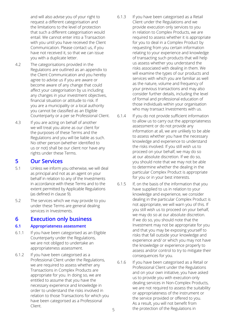and will also advise you of your right to request a different categorisation and the limitations to the level of protection that such a different categorisation would entail. We cannot enter into a Transaction with you until you have received the Client Communication. Please contact us, if you have not received it, so that we can issue you with a duplicate letter.

- 4.2 The categorisations provided in the Regulations are outlined as an appendix to the Client Communication and you hereby agree to advise us if you are aware or become aware of any change that could affect your categorisation by us including any changes in your investment objectives, financial situation or attitude to risk. If you are a municipality or a local authority you cannot be classified as an Eligible Counterparty or a per se Professional Client.
- 4.3 If you are acting on behalf of another we will treat you alone as our client for the purposes of these Terms and the Regulations and you will be liable as such. No other person (whether identified to us or not) shall be our client nor have any rights under these Terms.

### **5 Our Services**

- 5.1 Unless we inform you otherwise, we will deal as principal and not as an agent on your behalf in relation to any of the Investments in accordance with these Terms and to the extent permitted by Applicable Regulations (as defined in clause 9).
- 5.2 The services which we may provide to you under these Terms are general dealing services in Investments.

### **6 Execution only business**

#### **6.1 Appropriateness assessment**

- 6.1.1 If you have been categorised as an Eligible Counterparty under the Regulations, we are not obliged to undertake an appropriateness assessment.
- 6.1.2 If you have been categorised as a Professional Client under the Regulations, we are required to assess whether any Transactions in Complex Products are appropriate for you. In doing so, we are entitled to assume that you have the necessary experience and knowledge in order to understand the risks involved in relation to those Transactions for which you have been categorised as a Professional Client.
- 6.1.3 If you have been categorised as a Retail Client under the Regulations and we provide execution only services to you in relation to Complex Products, we are required to assess whether it is appropriate for you to deal in a Complex Product by requesting from you certain information relating to your experience and knowledge of transacting such products that will help us assess whether you understand the risks associated with dealing in them. We will examine the types of our products and services with which you are familiar as well as the nature, volume and frequency of your previous transactions and may also consider further details, including the level of formal and professional education of those individuals within your organisation who may transact Investments with us.
- 6.1.4 If you do not provide sufficient information to allow us to carry out the appropriateness assessment or do not provide any information at all, we are unlikely to be able to assess whether you have the necessary knowledge and experience to understand the risks involved. If you still wish us to proceed on your behalf, we may do so at our absolute discretion. If we do so, you should note that we may not be able to determine whether the dealing in the particular Complex Product is appropriate for you or in your best interests.
- 6.1.5 If, on the basis of the information that you have supplied to us in relation to your knowledge and experience, we consider dealing in the particular Complex Product is not appropriate, we will warn you of this. If you still wish us to proceed on your behalf, we may do so at our absolute discretion. If we do so, you should note that the Investment may not be appropriate for you and that you may be exposing yourself to risks that fall outside your knowledge and experience and/ or which you may not have the knowledge or experience properly to assess and/or control to try to mitigate their consequences for you.
- 6.1.6 If you have been categorised as a Retail or Professional Client under the Regulations and on your own initiative, you have asked us to provide you with execution-only dealing services in Non-Complex Products, we are not required to assess the suitability or appropriateness of the instrument or the service provided or offered to you. As a result, you will not benefit from the protection of the Regulations in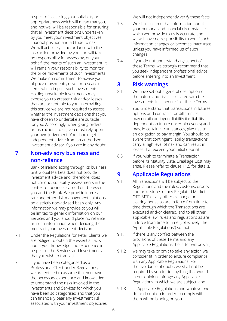respect of assessing your suitability or appropriateness which will mean that you, and not we, will be responsible for ensuring that all investment decisions undertaken by you meet your investment objectives, financial position and attitude to risk. We will act solely in accordance with the instruction provided by you and will take no responsibility for assessing, on your behalf, the merits of such an investment. It will remain your responsibility to monitor the price movements of such investments. We make no commitment to advise you of price movements, news or research items which impact such Investments. Holding unsuitable Investments may expose you to greater risk and/or losses than are acceptable to you. In providing this service we are not required to assess whether the investment decisions that you have chosen to undertake are suitable for you. Accordingly, when giving orders or Instructions to us, you must rely upon your own judgement. You should get independent advice from an authorised investment advisor if you are in any doubt.

# **7 Non-advisory business and non-reliance**

 Bank of Ireland acting through its business unit Global Markets does not provide Investment advice and, therefore, does not conduct suitability assessments in the context of business carried out between you and the Bank. We provide interest rate and other risk management solutions on a strictly non-advised basis only. Any information we may provide to you will be limited to generic information on our Services and you should place no reliance on such information when deciding the merits of your investment decision.

- 7.1 Under the Regulations for Retail Clients we are obliged to obtain the essential facts about your knowledge and experience in respect of the Services and Investments that you wish to transact.
- 7.2 If you have been categorised as a Professional Client under Regulations, we are entitled to assume that you have the necessary experience and knowledge to understand the risks involved in the Investments and Services for which you have been so categorised and that you can financially bear any investment risk associated with your investment objectives.

We will not independently verify these facts.

- 7.3 We shall assume that information about your personal and financial circumstances which you provide to us is accurate and we will have no responsibility to you if such information changes or becomes inaccurate unless you have informed us of such changes.
- 7.4 If you do not understand any aspect of these Terms, we strongly recommend that you seek independent professional advice before entering into an Investment.

### **8 Risk warnings**

- 8.1 We have set out a general description of the nature and risks associated with the Investments in schedule 1 of these Terms.
- 8.2 You understand that transactions in futures, options and contracts for differences may entail contingent liability (i.e. liability dependent on future uncertain events) and may, in certain circumstances, give rise to an obligation to pay margin. You should be aware that contingent liability transactions carry a high level of risk and can result in losses that exceed your initial deposit.
- 8.3 If you wish to terminate a Transaction before its Maturity Date, Breakage Cost may arise. Please refer to clause 11.5 for details.

# **9 Applicable Regulations**

- 9.1 All Transactions will be subject to the Regulations and the rules, customs, orders and procedures of any Regulated Market, OTF, MTF or any other exchange or clearing house as are in force from time to time through which the Transactions are executed and/or cleared, and to all other applicable law, rules and regulations as are in force from time to time (collectively, the "Applicable Regulations") so that:
- 9.1.1 if there is any conflict between the provisions of these Terms and any Applicable Regulations the latter will prevail;
- 9.1.2 we may take or omit to take any action we consider fit in order to ensure compliance with any Applicable Regulations. For the avoidance of doubt, we shall not be required by you to do anything that would, in our opinion, infringe any Applicable Regulations to which we are subject; and
- 9.1.3 all Applicable Regulations and whatever we do or do not do in order to comply with them will be binding on you.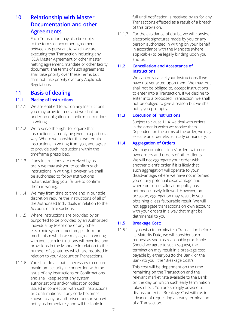# **10 Relationship with Master Documentation and other Agreements**

Each Transaction may also be subject to the terms of any other agreement between us pursuant to which we are executing that Transaction including any ISDA Master Agreement or other master netting agreement, mandate or other facility document. The terms of such agreements shall take priority over these Terms but shall not take priority over any Applicable Regulations.

### **11 Basis of dealing**

#### **11.1 Placing of Instructions**

- 11.1.1 We are entitled to act on any Instructions you may provide to us and we shall be under no obligation to confirm Instructions in writing.
- 11.1.2 We reserve the right to require that Instructions can only be given in a particular way. Where we consider that we require Instructions in writing from you, you agree to provide such Instructions within the timeframe prescribed.
- 11.1.3 If any Instructions are received by us orally we may ask you to confirm such Instructions in writing. However, we shall be authorised to follow Instructions notwithstanding your failure to confirm them in writing.
- 11.1.4 We may from time to time and in our sole discretion require the Instructions of all of the Authorised Individuals in relation to the Account or Transactions.
- 11.1.5 Where Instructions are provided by or purported to be provided by an Authorised Individual by telephone or any other electronic system, medium, platform or mechanism which we may agree in writing with you, such Instructions will override any provisions in the Mandate in relation to the number of signatures which are required in relation to your Account or Transactions.
- 11.1.6 You shall do all that is necessary to ensure maximum security in connection with the issue of any Instructions or Confirmations and shall keep secret any system authorisations and/or validation codes issued in connection with such Instructions or Confirmations. If any code becomes known to any unauthorised person you will notify us immediately and will be liable in

full until notification is received by us for any Transactions effected as a result of a breach of this provision.

11.1.7 For the avoidance of doubt, we will consider electronic signatures made by you or any person authorised in writing on your behalf in accordance with the Mandate (where applicable) to be legally binding upon you and us.

#### **11.2 Cancellation and Acceptance of Instructions**

We can only cancel your Instructions if we have not yet acted upon them. We may, but shall not be obliged to, accept Instructions to enter into a Transaction. If we decline to enter into a proposed Transaction, we shall not be obliged to give a reason but we shall notify you promptly.

#### **11.3 Execution of Instructions**

 Subject to clause 11.4, we deal with orders in the order in which we receive them. Dependent on the terms of the order, we may execute an order electronically or manually.

### **11.4 Aggregation of Orders**

We may combine clients' orders with our own orders and orders of other clients. We will not aggregate your order with another client's order if it is likely that such aggregation will operate to your disadvantage; where we have not informed you of any potential disadvantage and where our order allocation policy has not been closely followed. However, on occasion, aggregation may result in you obtaining a less favourable result. We will not aggregate transactions on own account with your orders in a way that might be detrimental to you.

#### **11.5 Breakage Cost:**

11.5.1 If you wish to terminate a Transaction before its Maturity Date, we will consider such request as soon as reasonably practicable. Should we agree to such request, the termination may result in a breakage cost payable by either you (to the Bank) or the Bank (to you) (the "Breakage Cost").

> This cost will be dependent on the time remaining on the Transaction and the relevant market rate available to the Bank on the day on which such early termination takes effect. You are strongly advised to discuss potential Breakage Cost with us in advance of requesting an early termination of a Transaction.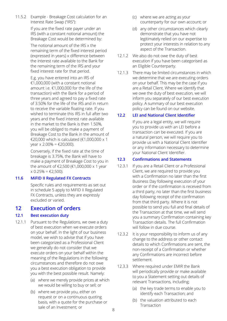11.5.2 Example - Breakage Cost calculation for an Interest Rate Swap ("IRS"):

> If you are the fixed rate payer under an IRS (with a constant notional amount) the Breakage Cost would be determined by:

The notional amount of the IRS x the remaining term of the fixed interest period (expressed in years) x difference between the interest rate available to the Bank for the remaining term of the IRS and your fixed interest rate for that period.

E.g. you have entered into an IRS of €1,000,000 (with a constant notional amount i.e. €1,000,000 for the life of the transaction) with the Bank for a period of three years and agreed to pay a fixed rate of 3.50% for the life of the IRS and in return to receive the variable floating rate. If you wished to terminate this IRS in full after two years and the fixed interest rate available in the market to the Bank is then 1.50%, you will be obliged to make a payment of Breakage Cost to the Bank in the amount of €20,000 which is calculated (€1,000,000 x 1 vear  $\times$  2.00% =  $\text{\textsterling}20.000$ ).

Conversely, if the fixed rate at the time of breakage is 3.75%, the Bank will have to make a payment of Breakage Cost to you in the amount of €2,500 (€1,000,000 x 1 year  $x 0.25\% = \text{\textsterling}2,500$ ).

### **11.6 MiFID II Regulated FX Contracts**

Specific rules and requirements as set out in schedule 5 apply to MiFID II Regulated FX Contracts, unless they are expressly excluded or varied.

### **12 Execution of orders**

### **12.1 Best execution duty**

- 12.1.1 Pursuant to the Regulations, we owe a duty of best execution when we execute orders on your behalf. In the light of our business model, we wish to advise that if you have been categorized as a Professional Client we generally do not consider that we execute orders on your behalf within the meaning of the Regulations in the following circumstances and therefore do not owe you a best execution obligation to provide you with the best possible result. Namely:
	- (a) where we merely provide prices at which we would be willing to buy or sell; or
	- (b) where we provide you, either on request or on a continuous quoting basis, with a quote for the purchase or sale of an Investment; or
- (c) where we are acting as your counterparty for our own account; or
- (d) any other circumstances which clearly demonstrate that you have not legitimately relied on our expertise to protect your interests in relation to any aspect of the Transaction.
- 12.1.2 We also do not owe the duty of best execution if you have been categorised as an Eligible Counterparty.
- 12.1.3 There may be limited circumstances in which we determine that we are executing orders on your behalf. This may be the case if you are a Retail Client. Where we identify that we owe the duty of best execution, we will inform you separately of our best execution policy. A summary of our best execution policy can be found on our website.

### **12.2 LEI and National Client Identifier**

If you are a legal entity, we will require you to provide us with an LEI before a transaction can be executed. If you are a natural person, we will require you to provide us with a National Client Identifier or any information necessary to determine your National Client Identifier.

### **12.3 Confirmations and Statements**

- 12.3.1 If you are a Retail Client or a Professional Client, we are required to provide you with a Confirmation no later than the first Business Day following execution of your order or if the confirmation is received from a third party, no later than the first business day following receipt of the confirmation from that third party. Where it is not possible to send you full and final details of the Transaction at that time, we will send you a summary Confirmation containing key Transaction details. The full Confirmation will follow in due course.
- 12.3.2 It is your responsibility to inform us of any change to the address or other contact details to which Confirmations are sent, the non-receipt of a Confirmation or whether any Confirmations are incorrect before settlement.
- 12.3.3 Where required under EMIR the Bank will periodically provide or make available to you a Statement setting out details of relevant Transactions, including;
	- (a) the key trade terms to enable you to identify each Transaction; and
	- (b) the valuation attributed to each Transaction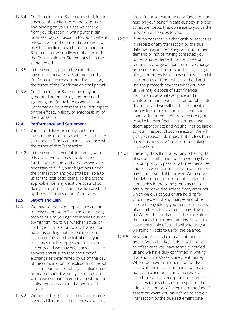- 12.3.4 Confirmations and Statements shall, in the absence of manifest error, be conclusive and binding on you, unless we receive from you objection in writing within ten Business Days of dispatch to you or, where relevant, within the earlier timeframe that may be specified in such Confirmation or Statement, or we notify you of an error in the Confirmation or Statement within the same period.
- 12.3.5 In the event of, and to the extent of, any conflict between a Statement and a Confirmation in respect of a Transaction, the terms of the Confirmation shall prevail.
- 12.3.6 Confirmations or Statements may be generated automatically and may not be signed by us. Our failure to generate a Confirmation or Statement shall not impact on the efficacy, validity or enforceability of the Transaction.

#### **12.4 Performance and Settlement**

- 12.4.1 You shall deliver promptly such funds, investments or other assets deliverable by you under a Transaction in accordance with the terms of that Transaction.
- 12.4.2 In the event that you fail to comply with this obligation, we may provide such funds, investments and other assets as is necessary to fulfil your obligations under the Transaction and you shall be liable to us for the cost of so doing. To the extent applicable, we may debit the costs of so doing from your account(s) which are held by the Bank or any of our Associates.

#### **12.5 Set-off and Lien**

- 12.5.1 We may, to the extent applicable and at our discretion, set off, in whole or in part, monies due to you against monies due or owing from you to us, whether actual or contingent, in relation to any Transaction notwithstanding that the balances on such accounts and the liabilities of you to us may not be expressed in the same currency and we may effect any necessary conversions at such rate and time of exchange as determined by us on the day of the combination, consolidation or set-off. If the amount of the liability is unliquidated or unascertained, we may set off a sum which we estimate in good faith will be the liquidated or ascertained amount of the liability.
- 12.5.2 We retain the right at all times to exercise a general lien or security interest over any

client financial instruments or funds that are held on your behalf in safe custody in order to recover debts that do relate to you or the provision of services to you.

- 12.5.3 If we do not receive either cash or securities in respect of any transaction by the due date, we may immediately, without further demand or notice/having contacted you to demand settlement, cancel, close out, terminate, charge an administrative charge or reverse any contracts and resell, charge, pledge or otherwise dispose of any financial instruments or funds which we hold and use the proceeds towards what you owe us. We may dispose of such financial instruments at whatever price and in whatever manner we see fit at our absolute discretion and we will not be responsible for any loss or reduction in value of such financial instrument. We reserve the right to sell whatever financial instrument we deem appropriate and we shall not be liable to you in respect of such selection. We will give you reasonable notice but no less than three business days' notice before taking such action.
- 12.5.4 These rights will not affect any other rights of set-off, combination or lien we may have. It is our policy to pass on all fines, penalties and costs we might incur if you fail to make payment or you fail to deliver. We reserve the right to retain, or to require any of the companies in the same group as us to retain, or make deductions from, amounts which we owe to you or are holding for you, in respect of any charges and other amounts payable by you to us or in respect of any other liability you may have towards us. Where the funds realised by the sale of the financial instrument are insufficient to cover the whole of your liability to us, you will remain liable to us for the balance.
- 12.5.5 Any funds/assets held as client monies under Applicable Regulations will not be so offset once you have formally notified us and we have duly confirmed in writing that such funds/assets are client money. Where we have confirmed that funds/ assets are held as client money we may not claim a lien or security interest over such funds/assets except to the extent that it relates to any charges in respect of the administration or safekeeping of the funds/ assets or where you have failed to settle a Transaction by the due settlement date.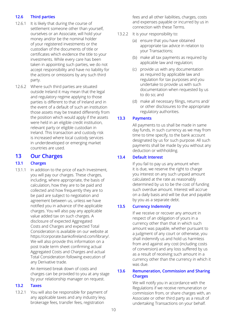#### **12.6 Third parties**

- 12.6.1 It is likely that during the course of settlement someone other than yourself, ourselves or an Associate, will hold your money and/or be the nominal holder of your registered investments or the custodian of the documents of title or certificates which evidence the title to your investments. While every care has been taken in appointing such parties, we do not accept responsibility and have no liability for the actions or omissions by any such third party.
- 12.6.2 Where such third parties are situated outside Ireland it may mean that the legal and regulatory regime applying to those parties is different to that of Ireland and in the event of a default of such an institution those assets may be treated differently from the position which would apply if the assets were held in an eligible credit institution, relevant party or eligible custodian in Ireland. This transaction and custody risk is increased where local custody services in underdeveloped or emerging market countries are used.

### **13 Our Charges**

#### **13.1 Charges**

13.1.1 In addition to the price of each Investment, you will pay our charges. These charges, including, where appropriate, the basis of calculation, how they are to be paid and collected and how frequently they are to be paid are subject to negotiation and agreement between us, unless we have notified you in advance of the applicable charges. You will also pay any applicable value added tax on such charges. A disclosure of expected Aggregated Costs and Charges and expected Total Consideration is available on our website at https://corporate.bankofireland.com/library/. We will also provide this information on a post trade term sheet confirming actual Aggregated Costs and Charges and actual Total Consideration following execution of any Derivative trade.

> An itemised break down of costs and charges can be provided to you at any stage by your relationship manager on request.

#### **13.2 Taxes**

13.2.1 You will also be responsible for payment of any applicable taxes and any industry levy, brokerage fees, transfer fees, registration

fees and all other liabilities, charges, costs and expenses payable or incurred by us in connection with these Terms.

- 13.2.2 It is your responsibility to:
	- (a) ensure that you have obtained appropriate tax advice in relation to your Transactions;
	- (b) make all tax payments as required by applicable law and regulation;
	- (c) provide us with any documentation as required by applicable law and regulation for tax purposes and you undertake to provide us with such documentation when requested by us to do so; and
	- (d) make all necessary filings, returns and/ or other disclosures to the appropriate regulatory authorities.

#### **13.3 Payments**

All payments to us shall be made in same day funds, in such currency as we may from time to time specify, to the bank account designated by us for such purpose. All such payments shall be made by you without any deduction or withholding.

### **13.4 Default Interest**

If you fail to pay us any amount when it is due, we reserve the right to charge you interest on any such unpaid amount calculated at the rate as reasonably determined by us to be the cost of funding such overdue amount. Interest will accrue on a daily basis and will be due and payable by you as a separate debt.

#### **13.5 Currency Indemnity**

If we receive or recover any amount in respect of an obligation of yours in a currency other than that in which such amount was payable, whether pursuant to a judgment of any court or otherwise, you shall indemnify us and hold us harmless from and against any cost (including costs of conversion) and any loss suffered by us as a result of receiving such amount in a currency other than the currency in which it was due.

#### **13.6 Remuneration, Commission and Sharing Charges**

We will notify you in accordance with the Regulations if we receive remuneration or commission from, or share charges with, an Associate or other third party as a result of undertaking Transactions on your behalf.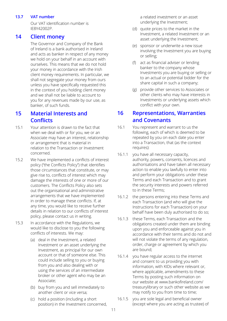#### **13.7 VAT number**

Our VAT identification number is IE8Y42002P.

### **14 Client money**

The Governor and Company of the Bank of Ireland is a bank authorised in Ireland and acts as banker in respect of any money we hold on your behalf in an account with ourselves. This means that we do not hold your money in accordance with the Irish client money requirements. In particular, we shall not segregate your money from ours unless you have specifically requested this in the context of you holding client money and we shall not be liable to account to you for any revenues made by our use, as banker, of such funds.

### **15 Material Interests and Conflicts**

- 15.1 Your attention is drawn to the fact that when we deal with or for you, we or an Associate may have an interest, relationship or arrangement that is material in relation to the Transaction or Investment concerned.
- 15.2 We have implemented a conflicts of interest policy ("the Conflicts Policy") that identifies those circumstances that constitute, or may give rise to, conflicts of interest which may damage the interests of one or more of our customers. The Conflicts Policy also sets out the organisational and administrative arrangements that we have implemented in order to manage these conflicts. If, at any time, you would like to receive further details in relation to our conflicts of interest policy, please contact us in writing.
- 15.3 In accordance with the Regulations, we would like to disclose to you the following conflicts of interests. We may:
	- (a) deal in the Investment, a related Investment or an asset underlying the Investment, as principal for our own account or that of someone else. This could include selling to you or buying from you and also dealing with or using the services of an intermediate broker or other agent who may be an Associate;
	- (b) buy from you and sell immediately to another client or vice versa;
	- (c) hold a position (including a short position) in the Investment concerned,

a related investment or an asset underlying the Investment;

- (d) quote prices to the market in the Investment, a related Investment or an asset underlying the Investment;
- (e) sponsor or underwrite a new issue involving the Investment you are buying or selling;
- (f) act as financial adviser or lending banker to the company whose Investments you are buying or selling or to an actual or potential bidder for the share capital in such a company;
- (g) provide other services to Associates or other clients who may have interests in Investments or underlying assets which conflict with your own.

### **16 Representations, Warranties and Covenants**

- 16.1 You represent and warrant to us the following, each of which is deemed to be repeated by you on each date you enter into a Transaction, that (as the context requires):
- 16.1.1 you have all necessary capacity, authority, powers, consents, licences and authorisations and have taken all necessary action to enable you lawfully to enter into and perform your obligations under these Terms and each Transaction and to grant the security interests and powers referred to in these Terms;
- 16.1.2 the persons entering into these Terms and each Transaction (and who will give the Instructions for each Transaction) on your behalf have been duly authorised to do so;
- 16.1.3 these Terms, each Transaction and the obligations created under them are binding upon you and enforceable against you in accordance with their terms and do not and will not violate the terms of any regulation. order, charge or agreement by which you are bound;
- 16.1.4 you have regular access to the internet and consent to us providing you with information, with KIDs where relevant or, where applicable, amendments to these Terms by posting such information on our website at www.bankofireland.com/ treasurylibrary or such other website as we may notify to you from time to time;
- 16.1.5 you are sole legal and beneficial owner (except where you are acting as trustee) of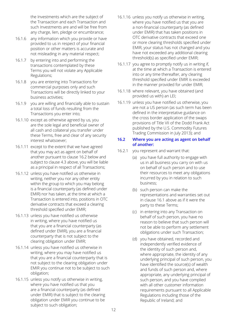the Investments which are the subject of the Transaction and each Transaction and such Investments are and will be free from any charge, lien, pledge or encumbrance;

- 16.1.6 any information which you provide or have provided to us in respect of your financial position or other matters is accurate and not misleading in any material respect;
- 16.1.7 by entering into and performing the transactions contemplated by these Terms you will not violate any Applicable Regulations;
- 16.1.8 you are entering into Transactions for commercial purposes only and such Transactions will be directly linked to your business activities;
- 16.1.9 you are willing and financially able to sustain a total loss of funds resulting from the Transactions you enter into;
- 16.1.10 except as otherwise agreed by us, you are the sole legal and beneficial owner of all cash and collateral you transfer under these Terms, free and clear of any security interest whatsoever;
- 16.1.11 except to the extent that we have agreed that you may act as agent on behalf of another pursuant to clause 16.2 below and subject to clause 4.3 above, you will be liable as a principal in respect of all Transactions;
- 16.1.12 unless you have notified us otherwise in writing, neither you nor any other entity within the group to which you may belong is a financial counterparty (as defined under EMIR) nor has taken, at the time at which a Transaction is entered into, positions in OTC derivative contracts that exceed a clearing threshold specified under EMIR;
- 16.1.13 unless you have notified us otherwise in writing, where you have notified us that you are a financial counterparty (as defined under EMIR), you are a financial counterparty that is not subject to the clearing obligation under EMIR;
- 16.1.14 unless you have notified us otherwise in writing, where you may have notified us that you are a financial counterparty that is not subject to the clearing obligation under EMIR you continue not to be subject to such obligation;
- 16.1.15 unless you notify us otherwise in writing, where you have notified us that you are a financial counterparty (as defined under EMIR) that is subject to the clearing obligation under EMIR you continue to be subject to such obligation;
- 16.1.16 unless you notify us otherwise in writing, where you have notified us that you are a non-financial counterparty (as defined under EMIR) that has taken positions in OTC derivative contracts that exceed one or more clearing thresholds specified under EMIR, your status has not changed and you have not exceeded any additional clearing threshold(s) as specified under EMIR;
- 16.1.17 you agree to promptly notify us in writing if, at the time at which a Transaction is entered into or any time thereafter, any clearing threshold specified under EMIR is exceeded in the manner provided for under EMIR;
- 16.1.18 where relevant, you have obtained (and provided us with) an LEI;
- 16.1.19 unless you have notified us otherwise, you are not a US person (as such term has been defined in the interpretative guidance on the cross border application of the swaps provisions of Title VII of the Dodd Frank Act published by the U.S. Commodity Futures Trading Commission in July 2013); and

#### **16.2 Where you are acting as agent on behalf of another:**

- 16.2.1 you represent and warrant that:
	- (a) you have full authority to engage with us in all business you carry on with us on behalf of such person and to use their resources to meet any obligations incurred by you in relation to such business;
	- (b) such person can make the representations and warranties set out in clause 16.1 above as if it were the party to these Terms;
	- (c) in entering into any Transaction on behalf of such person, you have no reason to believe that such person will not be able to perform any settlement obligations under such Transaction;
	- (d) you have obtained, recorded and independently verified evidence of the identity of such person and, where appropriate, the identity of any underlying principal of such person, you have identified the source(s) of wealth and funds of such person and, where appropriate, any underlying principal of such person, and you have complied with all other customer information requirements pursuant to all Applicable Regulations including those of the Republic of Ireland; and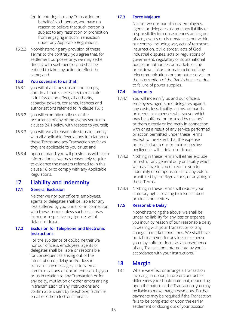- (e) in entering into any Transaction on behalf of such person, you have no reason to believe that such person is subject to any restriction or prohibition from engaging in such Transaction under any Applicable Regulations.
- 16.2.2 Notwithstanding any provision of these Terms to the contrary, you agree that, for settlement purposes only, we may settle directly with such person and shall be entitled to take any action to effect the same; and

#### **16.3 You covenant to us that:**

- 16.3.1 you will at all times obtain and comply, and do all that is necessary to maintain in full force and effect, all authority, capacity, powers, consents, licences and authorisations referred to in clause 16.1;
- 16.3.2 you will promptly notify us of the occurrence of any of the events set out in clauses 24.1 below with respect to yourself;
- 16.3.3 you will use all reasonable steps to comply with all Applicable Regulations in relation to these Terms and any Transaction so far as they are applicable to you or us; and
- 16.3.4 upon demand, you will provide us with such information as we may reasonably require to evidence the matters referred to in this clause 16 or to comply with any Applicable Regulations.

# **17 Liability and Indemnity**

### **17.1 General Exclusion**

Neither we nor our officers, employees, agents or delegates shall be liable for any loss suffered by you under or in connection with these Terms unless such loss arises from our respective negligence, wilful default or fraud.

#### **17.2 Exclusion for Telephone and Electronic Instructions**

For the avoidance of doubt, neither we nor our officers, employees, agents or delegates shall be liable or responsible for consequences arising out of the interruption of, delay and/or loss in transit of any messages, letters, email communications or documents sent by you or us in relation to any Transaction or for any delay, mutilation or other errors arising in transmission of any Instructions and confirmations sent by telephone, facsimile, email or other electronic means.

### **17.3 Force Majeure**

Neither we nor our officers, employees, agents or delegates assume any liability or responsibility for consequences arising out of acts, events or circumstances not within our control including war, acts of terrorism, insurrection, civil disorder, acts of God, industrial disputes, acts or regulations of government, regulatory or supranational bodies or authorities or markets or the breakdown, failure or malfunction of any telecommunications or computer service or the interruption of the Bank's business due to failure of power supplies.

#### **17.4 Indemnity**

- 17.4.1 You will indemnify us and our officers, employees, agents and delegates against any costs, loss, liability, claims, demands, proceeds or expenses whatsoever which may be suffered or incurred by us and/ or them directly or indirectly in connection with or as a result of any service performed or action permitted under these Terms except to the extent that the expense or loss is due to our or their respective negligence, wilful default or fraud.
- 17.4.2 Nothing in these Terms will either exclude or restrict any general duty or liability which we may have to you or require you to indemnify or compensate us to any extent prohibited by the Regulations, or anything in these Terms.
- 17.4.3 Nothing in these Terms will reduce your statutory rights relating to misdescribed products or services.

### **17.5 Reasonable Delay**

Notwithstanding the above, we shall be under no liability for any loss or expense you incur by reason of our reasonable delay in dealing with your Transaction or any change in market conditions. We shall have no liability to you for any loss or expense you may suffer or incur as a consequence of any Transaction entered into by you in accordance with your Instructions.

### **18 Margin**

18.1 Where we effect or arrange a Transaction involving an option, future or contract for differences you should note that, depending upon the nature of the Transaction, you may be liable to make margin payments. Further payments may be required if the Transaction fails to be completed or upon the earlier settlement or closing out of your position.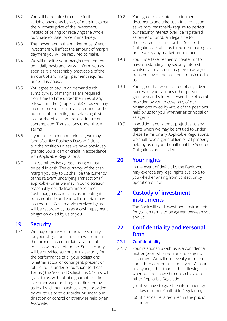- 18.2 You will be required to make further variable payments by way of margin against the purchase price of the investment, instead of paying (or receiving) the whole purchase (or sale) price immediately.
- 18.3 The movement in the market price of your investment will affect the amount of margin payment you will be required to make.
- 18.4 We will monitor your margin requirements on a daily basis and we will inform you as soon as it is reasonably practicable of the amount of any margin payment required under this clause.
- 18.5 You agree to pay us on demand such sums by way of margin as are required from time to time under the rules of any relevant market (if applicable) or as we may in our discretion reasonably require for the purpose of protecting ourselves against loss or risk of loss on present, future or contemplated Transactions under these Terms.
- 18.6 If you fail to meet a margin call, we may (and after five Business Days will) close out the position unless we have previously granted you a loan or credit in accordance with Applicable Regulations.
- 18.7 Unless otherwise agreed, margin must be paid in cash. The currency of the cash margin you pay to us shall be the currency of the relevant underlying Transaction (if applicable) or as we may in our discretion reasonably decide from time to time. Cash margin is paid to us as an outright transfer of title and you will not retain any interest in it. Cash margin received by us will be recorded by us as a cash repayment obligation owed by us to you.

# **19 Security**

19.1 We may require you to provide security for your obligations under these Terms in the form of cash or collateral acceptable to us as we may determine. Such security will be provided as continuing security for the performance of all your obligations (whether actual or contingent, present or future) to us under or pursuant to these Terms ("the Secured Obligations"). You shall grant to us, with full title guarantee, a first fixed mortgage or charge as directed by us in all such non- cash collateral provided by you to us or to our order or under our direction or control or otherwise held by an Associate.

- 19.2 You agree to execute such further documents and take such further action as we may reasonably require to perfect our security interest over, be registered as owner of or obtain legal title to the collateral, secure further Secured Obligations, enable us to exercise our rights or to satisfy any market requirement.
- 19.3 You undertake neither to create nor to have outstanding any security interest whatsoever over, nor to agree to assign or transfer, any of the collateral transferred to us.
- 19.4 You agree that we may, free of any adverse interest of yours or any other person, grant a security interest over the collateral provided by you to cover any of our obligations owed by virtue of the positions held by us for you (whether as principal or as agent).
- 19.5 In addition and without prejudice to any rights which we may be entitled to under these Terms or any Applicable Regulations, we shall have a general lien on all property held by us on your behalf until the Secured Obligations are satisfied.

# **20 Your rights**

In the event of default by the Bank, you may exercise any legal rights available to you whether arising from contact or by operation of law.

# **21 Custody of investment instruments**

The Bank will hold investment instruments for you on terms to be agreed between you and us.

# **22 Confidentiality and Personal Data**

### **22.1 Confidentiality**

- 22.1.1 Your relationship with us is a confidential matter (even when you are no longer a customer). We will not reveal your name and address or details about your Account to anyone, other than in the following cases when we are allowed to do so by law or other Applicable Regulation:
	- (a) if we have to give the information by law or other Applicable Regulation;
	- (b) if disclosure is required in the public interest;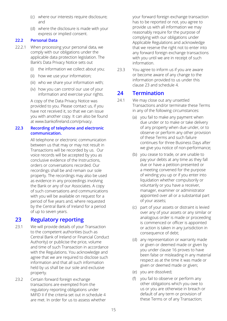- (c) where our interests require disclosure; and
- (d) where the disclosure is made with your express or implied consent.

#### **22.2 Personal Data**

- 22.2.1 When processing your personal data, we comply with our obligations under the applicable data protection legislation. The Bank's Data Privacy Notice sets out
	- (i) the information we collect about you;
	- (ii) how we use your information;
	- (iii) who we share your information with;
	- (iv) how you can control our use of your information and exercise your rights.

A copy of the Data Privacy Notice was provided to you. Please contact us, if you have not received it, so that we can issue you with another copy. It can also be found at www.bankofireland.com/privacy.

#### **22.3 Recording of telephone and electronic communication.**

 All telephone or electronic communication between us that may or may not result in Transactions will be recorded by us. Our voice records will be accepted by you as conclusive evidence of the Instructions, orders or conversations recorded. Our recordings shall be and remain our sole property. The recordings may also be used as evidence in any proceedings involving the Bank or any of our Associates. A copy of such conversations and communications with you will be available on request for a period of five years and, where requested by the Central Bank of Ireland for a period of up to seven years.

### **23 Regulatory reporting**

- 23.1 We will provide details of your Transaction to the competent authorities (such as Central Bank of Ireland or Financial Conduct Authority) or publicise the price, volume and time of such Transaction in accordance with the Regulations. You acknowledge and agree that we are required to disclose such information and that all such information held by us shall be our sole and exclusive property.
- 23.2 Certain forward foreign exchange transactions are exempted from the regulatory reporting obligations under MiFID II if the criteria set out in schedule 4 are met. In order for us to assess whether

your forward foreign exchange transaction has to be reported or not, you agree to provide us with all information we may reasonably require for the purpose of complying with our obligations under Applicable Regulations and acknowledge that we reserve the right not to enter into any forward foreign exchange transactions with you until we are in receipt of such information.

23.3 You agree to inform us if you are aware or become aware of any change to the information provided to us under this clause 23 and schedule 4.

### **24 Termination**

- 24.1 We may close out any unsettled Transactions and/or terminate these Terms in any of the following circumstances:
	- (a) you fail to make any payment when due under or to make or take delivery of any property when due under, or to observe or perform any other provision of these Terms and such failure continues for three Business Days after we give you notice of non-performance;
	- (b) you cease to trade, or are unable to pay your debts at any time as they fall due or have a petition presented or a meeting convened for the purpose of winding you up or if you enter into liquidation whether compulsorily or voluntarily or you have a receiver, manager, examiner or administrator appointed over all or a substantial part of your assets;
	- (c) part of your assets or distraint is levied over any of your assets or any similar or analogous order is made or proceeding is commenced or officer is appointed or action is taken in any jurisdiction in consequence of debt;
	- (d) any representation or warranty made or given or deemed made or given by you under clause 16 proves to have been false or misleading in any material respect as at the time it was made or given or deemed made or given;
	- (e) you are dissolved;
	- (f) you fail to observe or perform any other obligations which you owe to us or you are otherwise in breach or default of any term or provision of these Terms or of any Transaction;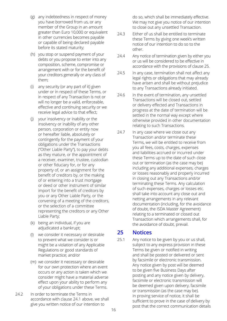- (g) any indebtedness in respect of money you have borrowed from us, or any member of the Group in an amount greater than Euro 10,000 or equivalent in other currencies becomes payable or capable of being declared payable before its stated maturity;
- (h) you stop or suspend payment of your debts or you propose to enter into any composition, scheme, compromise or arrangement with or for the benefit of your creditors generally or any class of them;
- (i) any security (or any part of it) given under or in respect of these Terms, or in respect of any Transaction is not or will no longer be a valid, enforceable, effective and continuing security or we receive legal advice to that effect;
- (j) your insolvency or inability or the insolvency or inability of any other person, corporation or entity now or hereafter liable, absolutely or contingently for the payment of your obligations under the Transactions ("Other Liable Party"), to pay your debts as they mature, or the appointment of a receiver, examiner, trustee, custodian or other fiduciary for, or for any property of, or an assignment for the benefit of creditors by, or the making of or entering into a trust mortgage or deed or other instrument of similar import for the benefit of creditors by you or any Other Liable Party, or the convening of a meeting of the creditors, or the selection of a committee representing the creditors or any Other Liable Party;
- (k) being an individual, if you are adjudicated a bankrupt;
- (l) we consider it necessary or desirable to prevent what we consider is or might be a violation of any Applicable Regulations or good standards of market practice; and/or
- (m) we consider it necessary or desirable for our own protection where an event occurs or any action is taken which we consider might have a material adverse effect upon your ability to perform any of your obligations under these Terms.
- 24.2 In order to terminate the Terms in accordance with clause 24.1 above, we shall give you written notice of our intention to

do so, which shall be immediately effective. We may not give you notice of our intention to close out any unsettled Transaction.

- 24.3 Either of us shall be entitled to terminate these Terms by giving one week's written notice of our intention to do so to the other.
- 24.4 Any notice of termination given by either you or us will be considered to be effective in accordance with the provisions of clause 25.
- 24.5 In any case, termination shall not affect any legal rights or obligations that may already have arisen and shall be without prejudice to any Transactions already initiated.
- 24.6 In the event of termination, any unsettled Transactions will be closed out, settled or delivery effected and Transactions in progress at the date of termination will be settled in the normal way except where otherwise provided in other documentation relating to such Transactions.
- 24.7 In any case where we close out any Transaction and/or terminate these Terms, we will be entitled to receive from you all fees, costs, charges, expenses and liabilities accrued or incurred under these Terms up to the date of such close out or termination (as the case may be) including any additional expenses, charges or losses reasonably and properly incurred in closing out any Transactions and/or terminating these Terms. Any calculation of such expenses, charges or losses etc. shall take into account any close out and netting arrangements in any relevant documentation (including, for the avoidance of doubt, the ISDA Master Agreement) relating to a terminated or closed out Transaction which arrangements shall, for the avoidance of doubt, prevail.

### **25 Notices**

25.1 Any notice to be given by you or us shall, subject to any express provision in these Terms be given or notified in writing and shall be posted or delivered or sent by facsimile or electronic transmission. Any notice given by post will be deemed to be given five Business Days after posting and any notice given by delivery, facsimile or electronic transmission will be deemed given upon delivery, facsimile or transmission (as the case may be). In proving service of notice, it shall be sufficient to prove in the case of delivery by post that the correct communication details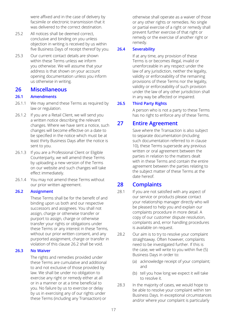were affixed and in the case of delivery by facsimile or electronic transmission that it was delivered to the correct destination.

- 25.2 All notices shall be deemed correct. conclusive and binding on you unless objection in writing is received by us within five Business Days of receipt thereof by you.
- 25.3 Our current contact details are shown within these Terms unless we inform you otherwise. We will assume that your address is that shown on your account opening documentation unless you inform us otherwise in writing.

### **26 Miscellaneous**

#### **26.1 Amendments**

- 26.1.1 We may amend these Terms as required by law or regulation.
- 26.1.2 If you are a Retail Client, we will send you a written notice describing the relevant changes. Where we have sent a notice, such changes will become effective on a date to be specified in the notice which must be at least thirty Business Days after the notice is sent to you.
- 26.1.3 If you are a Professional Client or Eligible Counterparty, we will amend these Terms by uploading a new version of the Terms on our website and such changes will take effect immediately.
- 26.1.4 You may not amend these Terms without our prior written agreement.

#### **26.2 Assignment**

 These Terms shall be for the benefit of and binding upon us both and our respective successors and assignees. You shall not assign, charge or otherwise transfer or purport to assign, charge or otherwise transfer your rights or obligations under these Terms or any interest in these Terms, without our prior written consent, and any purported assignment, charge or transfer in violation of this clause 26.2 shall be void.

#### **26.3 No Waiver**

The rights and remedies provided under these Terms are cumulative and additional to and not exclusive of those provided by law. We shall be under no obligation to exercise any right or remedy either at all or in a manner or at a time beneficial to you. No failure by us to exercise or delay by us in exercising any of our rights under these Terms (including any Transaction) or

otherwise shall operate as a waiver of those or any other rights or remedies. No single or partial exercise of a right or remedy shall prevent further exercise of that right or remedy or the exercise of another right or remedy.

#### **26.4 Severability**

If at any time, any provision of these Terms is or becomes illegal, invalid or unenforceable in any respect under the law of any jurisdiction, neither the legality, validity or enforceability of the remaining provisions of these Terms nor the legality, validity or enforceability of such provision under the law of any other jurisdiction shall in any way be affected or impaired.

### **26.5 Third Party Rights**

A person who is not a party to these Terms has no right to enforce any of these Terms.

# **27 Entire Agreement**

Save where the Transaction is also subject to separate documentation (including such documentation referred to in clause 10), these Terms supersede any previous written or oral agreement between the parties in relation to the matters dealt with in these Terms and contain the entire agreement between the parties relating to the subject matter of these Terms at the date hereof.

# **28 Complaints**

- 28.1 If you are not satisfied with any aspect of our service or products please contact your relationship manager directly who will be pleased to help you and explain our complaints procedure in more detail. A copy of our customer dispute resolution, complaints and, error handling procedures is available on request.
- 28.2 Our aim is to try to resolve your complaint straightaway. Often however, complaints need to be investigated further. If this is the case, we will write to you within five (5) Business Days in order to:
	- (a) acknowledge receipt of your complaint; and
	- (b) tell you how long we expect it will take to resolve it.
- 28.3 In the majority of cases, we would hope to be able to resolve your complaint within ten Business Days. In exceptional circumstances and/or where your complaint is particularly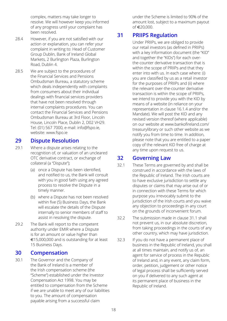complex, matters may take longer to resolve. We will however keep you informed of any progress until your complaint has been resolved.

- 28.4 However, if you are not satisfied with our action or explanation, you can refer your complaint in writing to: Head of Customer Group Dublin, Bank of Ireland Global Markets, 2 Burlington Plaza, Burlington Road, Dublin 4.
- 28.5 We are subject to the procedures of the Financial Services and Pensions Ombudsman Bureau, a statutory scheme which deals independently with complaints from consumers about their individual dealings with financial services providers that have not been resolved through internal complaints procedures. You can contact the Financial Services and Pensions Ombudsman Bureau at 3rd Floor, Lincoln House, Lincoln Place, Dublin 2, D02 VH29. Tel: (01) 567 7000, e-mail: info@fspo.ie, website: www.fspo.ie

# **29 Dispute Resolution**

- 29.1 Where a dispute arises relating to the recognition of, or valuation of an uncleared OTC derivative contract, or exchange of collateral (a "Dispute");
	- (a) once a Dispute has been identified, and notified to us, the Bank will consult with you in good faith using any agreed process to resolve the Dispute in a timely manner.
	- (b) where a Dispute has not been resolved within five (5) Business Days, the Bank will escalate the details of the Dispute internally to senior members of staff to assist in resolving the dispute.
- 29.2 The Bank will report to the competent authority under EMIR where a Dispute is for an amount or value higher than  $£15,000,000$  and is outstanding for at least 15 Business Days.

### **30 Compensation**

30.1 The Governor and the Company of the Bank of Ireland is a member of the Irish compensation scheme (the "Scheme") established under the Investor Compensation Act 1998. You may be entitled to compensation from the Scheme if we are unable to meet any of our liabilities to you. The amount of compensation payable arising from a successful claim

under the Scheme is limited to 90% of the amount lost, subject to a maximum payout of e20,000.

# **31 PRIIPS Regulation**

Under PRIIPs, we are obliged to provide our retail investors (as defined in PRIIPs) with a key information document (the "KID" and together the "KIDs") for each overthe-counter derivative transaction that is within the scope of PRIIPs and that they enter into with us. In each case where: (i) you are classified by us as a retail investor for the purposes of PRIIPs and (ii) where the relevant over-the-counter derivative transaction is within the scope of PRIIPs, we intend to provide you with the KID by means of a website (in reliance on your representation in clause 16.1.4 and/or the Mandate). We will post the KID and any revised version thereof (where applicable) on our website at www.bankofireland.com/ treasurylibrary or such other website as we notify you from time to time. In addition, please note that you are entitled to a paper copy of the relevant KID free of charge at any time upon request to us.

### **32 Governing Law**

- 32.1 These Terms are governed by and shall be construed in accordance with the laws of the Republic of Ireland. The Irish courts are to have exclusive jurisdiction to settle any disputes or claims that may arise out of or in connection with these Terms for which purpose you irrevocably submit to the jurisdiction of the Irish courts and you waive any objection to proceedings in any court on the grounds of inconvenient forum.
- 32.2 The submission made in clause 31.1 shall not prevent us, in our absolute discretion, from taking proceedings in the courts of any other country, which may have jurisdiction.
- 32.3 If you do not have a permanent place of business in the Republic of Ireland, you shall at all times maintain, and notify us of, an agent for service of process in the Republic of Ireland and, in any event, any claim form, order, petition, judgement or other notice of legal process shall be sufficiently served on you if delivered to any such agent at its permanent place of business in the Republic of Ireland.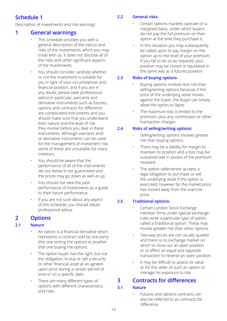# **Schedule 1**

Description of investments and risk warnings

### **1 General warnings**

- This schedule provides you with a general description of the nature and risks of the Investments, which you may trade with us. It does not disclose all of the risks and other significant aspects of the Investments.
- You should consider carefully whether or not the Investment is suitable for you in light of your circumstances and financial position, and if you are in any doubt, please seek professional advice.In particular, warrants and derivative instruments such as futures, options and contracts for difference are complicated instruments and you should make sure that you understand their nature and the level of risk they involve before you deal in these instruments. Although warrants and/ or derivative instruments can be used for the management of investment risk, some of these are unsuitable for many investors.
- You should be aware that the performance of all of the instruments set out below is not guaranteed and the prices may go down as well as up.
- You should not view the past performance of Investments as a guide to their future performance.
- If you are not sure about any aspect of this schedule, you should obtain professional advice.

### **2 Options**

### **2.1 Nature**

- An option is a financial derivative which represents a contract sold by one party (the one writing the option) to another (the one buying the option).
- The option buyer has the right, but not the obligation, to buy or sell a security or other financial asset at an agreedupon price during a certain period of time or on a specific date.
- There are many different types of options with different characteristics and risks.

### **2.2 General risks**

- Certain options markets operate on a margined basis, under which buyers do not pay the full premium on their option at the time they purchase it.
- In this situation you may subsequently be called upon to pay margin on the option up to the level of your premium. If you fail to do so as required, your position may be closed or liquidated in the same way as a futures position.

### **2.3 Risks of buying options**

- Buying options involves less risk than selling/writing options because, if the price of the underlying asset moves against the buyer, the buyer can simply allow the option to lapse.
- The maximum loss is limited to the premium, plus any commission or other transaction charges.

### **2.4 Risks of selling/writing options:**

- Selling/writing options involves greater risk than buying options.
- There may be a liability for margin to maintain its position and a loss may be sustained well in excess of the premium received.
- The option seller/writer accepts a legal obligation to purchase or sell the underlying asset if the option is exercised, however far the market price has moved away from the exercise price.

### **2.5 Traditional options:**

- Certain London Stock Exchange member firms under special exchange rules write a particular type of option called a 'traditional option'. These may involve greater risk than other options.
- Two-way prices are not usually quoted and there is no exchange market on which to close out an open position or to effect an equal and opposite transaction to reverse an open position.
- It may be difficult to assess its value or for the seller of such an option to manage his exposure to risk.

# **3 Contracts for differences**

### **3.1 Nature**

Futures and options contracts can also be referred to as contracts for difference.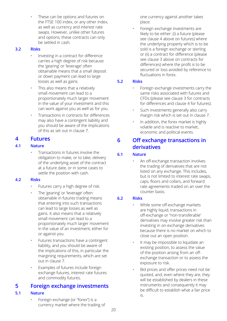These can be options and futures on the FTSE 100 index, or any other index, as well as currency and interest rate swaps. However, unlike other futures and options, these contracts can only be settled in cash.

#### **3.2 Risks**

- Investing in a contract for difference carries a high degree of risk because the 'gearing' or 'leverage' often obtainable means that a small deposit or down payment can lead to large losses as well as gains.
- This also means that a relatively small movement can lead to a proportionately much larger movement in the value of your investment and this can work against you as well as for you.
- Transactions in contracts for differences may also have a contingent liability and you should be aware of the implications of this as set out in clause 7.

### **4 Futures**

### **4.1 Nature**

• Transactions in futures involve the obligation to make, or to take, delivery of the underlying asset of the contract at a future date, or in some cases to settle the position with cash.

### **4.2 Risks**

- Futures carry a high degree of risk.
- The 'gearing' or 'leverage' often obtainable in futures trading means that entering into such transactions can lead to large losses as well as gains. It also means that a relatively small movement can lead to a proportionately much larger movement in the value of an investment, either for or against you.
- Futures transactions have a contingent liability, and you should be aware of the implications of this, in particular the margining requirements, which are set out in clause 7.
- Examples of futures include foreign exchange futures, interest rate futures and commodity futures.

### **5 Foreign exchange investments**

### **5.1 Nature**

• Foreign exchange (or "forex") is a currency market where the trading of one currency against another takes place.

• Foreign exchange investments are likely to be either: (i) a future (please see clause 4 above on futures) where the underlying property which is to be sold is a foreign exchange or sterling or (ii) a contract for difference (please see clause 3 above on contracts for differences) where the profit is to be secured or loss avoided by reference to fluctuations in forex.

### **5.2 Risks**

- Foreign exchange investments carry the same risks associated with futures and CFDs (please see clause 3 for contracts for differences and clause 4 for futures).
- Such investments generally also carry margin risk which is set out in clause 7.
- In addition, the forex market is highly volatile and is reactive to market, economic and political events.

### **6 Off exchange transactions in derivatives**

### **6.1 Nature**

• An off-exchange transaction involves the trading of derivatives that are not listed on any exchange. This includes, but is not limited to interest rate swaps, caps, floors and collars, and forward rate agreements traded on an over the counter basis.

### **6.2 Risks**

- While some off-exchange markets are highly liquid, transactions in off-exchange or "non-transferable' derivatives may involve greater risk than investing in on-exchange derivatives because there is no market on which to close out an open position.
- It may be impossible to liquidate an existing position, to assess the value of the position arising from an offexchange transaction or to assess the exposure to risk.
- Bid prices and offer prices need not be quoted, and, even where they are, they will be established by dealers in these instruments and consequently it may be difficult to establish what a fair price is.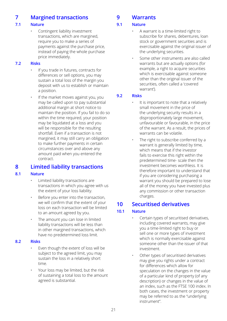# **7 Margined transactions**

### **7.1 Nature**

• Contingent liability investment transactions, which are margined, require you to make a series of payments against the purchase price, instead of paying the whole purchase price immediately.

#### **7.2 Risks**

- If you trade in futures, contracts for differences or sell options, you may sustain a total loss of the margin you deposit with us to establish or maintain a position.
- If the market moves against you, you may be called upon to pay substantial additional margin at short notice to maintain the position. If you fail to do so within the time required, your position may be liquidated at a loss and you will be responsible for the resulting shortfall. Even if a transaction is not margined, it may still carry an obligation to make further payments in certain circumstances over and above any amount paid when you entered the contract.

### **8 Limited liability transactions**

#### **8.1 Nature**

- Limited liability transactions are transactions in which you agree with us the extent of your loss liability.
- Before you enter into the transaction, we will confirm that the extent of your loss on each transaction will be limited to an amount agreed by you.
- The amount you can lose in limited liability transactions will be less than in other margined transactions, which have no predetermined loss limit.

#### **8.2 Risks**

- Even though the extent of loss will be subject to the agreed limit, you may sustain the loss in a relatively short time.
- Your loss may be limited, but the risk of sustaining a total loss to the amount agreed is substantial.

# **9 Warrants**

### **9.1 Nature**

- A warrant is a time-limited right to subscribe for shares, debentures, loan stock or government securities and is exercisable against the original issuer of the underlying securities.
- Some other instruments are also called warrants but are actually options (for example, a right to acquire securities which is exercisable against someone other than the original issuer of the securities, often called a 'covered warrant').

#### **9.2 Risks**

- It is important to note that a relatively small movement in the price of the underlying security results in a disproportionately large movement, unfavourable or favourable, in the price of the warrant. As a result, the prices of warrants can be volatile.
- The right to subscribe conferred by a warrant is generally limited by time, which means that if the investor fails to exercise this right within the predetermined time- scale then the investment becomes worthless. It is therefore important to understand that if you are considering purchasing a warrant you should be prepared to lose all of the money you have invested plus any commission or other transaction charges.

# **10 Securitised derivatives**

### **10.1 Nature**

- Certain types of securitised derivatives, including covered warrants, may give you a time-limited right to buy or sell one or more types of investment which is normally exercisable against someone other than the issuer of that investment.
- Other types of securitised derivatives may give you rights under a contract for differences which allow for speculation on the changes in the value of a particular kind of property (of any description) or changes in the value of an index, such as the FTSE 100 index. In both cases, the investment or property may be referred to as the "underlying instrument".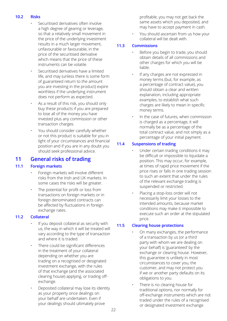#### **10.2 Risks**

- Securitised derivatives often involve a high degree of gearing or leverage, so that a relatively small movement in the price of the underlying investment results in a much larger movement, unfavourable or favourable, in the price of the securitised derivative which means that the price of these instruments can be volatile.
- Securitised derivatives have a limited life, and may (unless there is some form of guaranteed return to the amount you are investing in the product) expire worthless if the underlying instrument does not perform as expected.
- As a result of this risk, you should only buy these products if you are prepared to lose all of the money you have invested plus any commission or other transaction charges.
- You should consider carefully whether or not this product is suitable for you in light of your circumstances and financial position and if you are in any doubt you should seek professional advice.

### **11 General risks of trading**

### **11.1 Foreign markets**

- Foreign markets will involve different risks from the Irish and UK markets. In some cases the risks will be greater.
- The potential for profit or loss from transactions on foreign markets or in foreign denominated contracts can be affected by fluctuations in foreign exchange rates.

### **11.2 Collateral**

- If you deposit collateral as security with us, the way in which it will be treated will vary according to the type of transaction and where it is traded.
- There could be significant differences in the treatment of your collateral depending on whether you are trading on a recognised or designated investment exchange, with the rules of that exchange (and the associated clearing house) applying, or trading offexchange.
- Deposited collateral may lose its identity as your property once dealings on your behalf are undertaken. Even if your dealings should ultimately prove

profitable, you may not get back the same assets which you deposited, and may have to accept payment in cash.

• You should ascertain from us how your collateral will be dealt with.

#### **11.3 Commissions**

- Before you begin to trade, you should obtain details of all commissions and other charges for which you will be liable.
- If any charges are not expressed in money terms (but, for example, as a percentage of contract value), you should obtain a clear and written explanation, including appropriate examples, to establish what such charges are likely to mean in specific money terms.
- In the case of futures, when commission is charged as a percentage, it will normally be as a percentage of the total contract value, and not simply as a percentage of your initial payment.

### **11.4 Suspensions of trading**

- Under certain trading conditions it may be difficult or impossible to liquidate a position. This may occur, for example, at times of rapid price movement if the price rises or falls in one trading session to such an extent that under the rules of the relevant exchange trading is suspended or restricted.
- Placing a stop-loss order will not necessarily limit your losses to the intended amounts, because market conditions may make it impossible to execute such an order at the stipulated price.

### **11.5 Clearing house protections**

- On many exchanges, the performance of a transaction by us (or a third party with whom we are dealing on your behalf) is 'guaranteed' by the exchange or clearing house. However, this guarantee is unlikely in most circumstances to cover you, the customer, and may not protect you if we or another party defaults on its obligations to you.
- There is no clearing house for traditional options, nor normally for off-exchange instruments which are not traded under the rules of a recognised or designated investment exchange.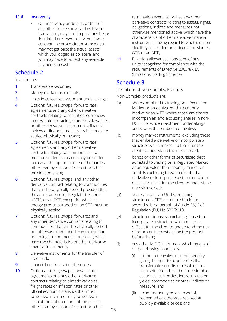#### **11.6 lnsolvency**

• Our insolvency or default, or that of any other brokers involved with your transaction, may lead to positions being liquidated or closed but without your consent. In certain circumstances, you may not get back the actual assets which you lodged as collateral and you may have to accept any available payments in cash.

### **Schedule 2**

Investments

- **1** Transferable securities;
- **2** Money-market instruments;
- **3** Units in collective investment undertakings;
- **4** Options, futures, swaps, forward rate agreements and any other derivative contracts relating to securities, currencies, interest rates or yields, emission allowances or other derivatives instruments, financial indices or financial measures which may be settled physically or in cash;
- **5** Options, futures, swaps, forward rate agreements and any other derivative contracts relating to commodities that must be settled in cash or may be settled in cash at the option of one of the parties other than by reason of default or other termination event;
- **6** Options, futures, swaps, and any other derivative contract relating to commodities that can be physically settled provided that they are traded on a Regulated Market, a MTF, or an OTF, except for wholesale energy products traded on an OTF must be physically settled;
- **7** Options, futures, swaps, forwards and any other derivative contracts relating to commodities, that can be physically settled not otherwise mentioned in (6) above and not being for commercial purposes, which have the characteristics of other derivative financial instruments;
- **8** Derivative instruments for the transfer of credit risk;
- **9** Financial contracts for differences:
- **10** Options, futures, swaps, forward rate agreements and any other derivative contracts relating to climatic variables, freight rates or inflation rates or other official economic statistics that must be settled in cash or may be settled in cash at the option of one of the parties other than by reason of default or other

termination event, as well as any other derivative contracts relating to assets, rights, obligations, indices and measures not otherwise mentioned above, which have the characteristics of other derivative financial instruments, having regard to whether, inter alia, they are traded on a Regulated Market, OTF, or an MTF;

**11** Emission allowances consisting of any units recognised for compliance with the requirements of Directive 2003/87/EC (Emissions Trading Scheme).

# **Schedule 3**

Definitions of Non-Complex Products

Non-Complex products are:

- (a) shares admitted to trading on a Regulated Market or an equivalent third country market or an MTF, where those are shares in companies, and excluding shares in non-UCITS collective investment undertakings and shares that embed a derivative;
- (b) money market instruments, excluding those that embed a derivative or incorporate a structure which makes it difficult for the client to understand the risk involved;
- (c) bonds or other forms of securitised debt admitted to trading on a Regulated Market or an equivalent third country market or an MTF, excluding those that embed a derivative or incorporate a structure which makes it difficult for the client to understand the risk involved;
- (d) shares or units in UCITS, excluding structured UCITS as referred to in the second sub-paragraph of Article 36(1) of Regulation (EU) No 583/2010;
- (e) structured deposits , excluding those that incorporate a structure which makes it difficult for the client to understand the risk of return or the cost exiting the product before them;
- (f) any other MiFID instrument which meets all of the following conditions:
	- it is not a derivative or other security giving the right to acquire or sell a transferable security or resulting in a cash settlement based on transferable securities, currencies, interest rates or yields, commodities or other indices or measure; and
	- (ii) it can frequently be disposed of, redeemed or otherwise realised at publicly available prices; and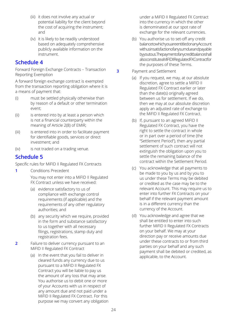- (iii) it does not involve any actual or potential liability for the client beyond the cost of acquiring the instrument; and
- (iv) it is likely to be readily understood based on adequately comprehensive publicly available information on the instrument.

### **Schedule 4**

Forward Foreign Exchange Contracts – Transaction Reporting Exemption

A forward foreign exchange contract is exempted from the transaction reporting obligation where it is a means of payment that:

- (i) must be settled physically otherwise than by reason of a default or other termination event;
- (ii) is entered into by at least a person which is not a financial counterparty within the meaning of Article 2(8) of EMIR;
- (iii) is entered into in order to facilitate payment for identifiable goods, services or direct investment; and
- (iv) is not traded on a trading venue.

# **Schedule 5**

Specific rules for MiFID II Regulated FX Contracts

- **1** Conditions Precedent You may not enter into a MiFID II Regulated FX Contract unless we have received:
	- (a) evidence satisfactory to us of compliance with exchange control requirements (if applicable) and the requirements of any other regulatory authorities; and
	- (b) any security which we require, provided in the form and substance satisfactory to us together with all necessary filings, registrations, stamp duty and registration fees.
- **2** Failure to deliver currency pursuant to an MiFID II Regulated FX Contract
	- (a) In the event that you fail to deliver in cleared funds any currency due to us pursuant to a MiFID II Regulated FX Contract you will be liable to pay us the amount of any loss that may arise. You authorise us to debit one or more of your Accounts with us in respect of any amount due and not paid under a MiFID II Regulated FX Contract. For this purpose we may convert any obligation

under a MiFID II Regulated FX Contract into the currency in which the other is denominated at our spot rate of exchange for the relevant currencies.

- (b) You authorise us to set-off any credit balance to which you are entitled on any Account with us in satisfaction of any sum due and payable byyoutous. The payment of any credit balance shall also constitute a MiFID II Regulated FX Contract for the purposes of these Terms.
- **3** Payment and Settlement
	- (a) If you request, we may, at our absolute discretion, agree to settle a MiFID II Regulated FX Contract earlier or later than the date(s) originally agreed between us for settlement. If we do, then we may at our absolute discretion apply an adjusted rate of exchange to the MiFID II Regulated FX Contract.
	- (b) If, pursuant to an agreed MiFID II Regulated FX Contract, you have the right to settle the contract in whole or in part over a period of time (the "Settlement Period"), then any partial settlement of such contract will not extinguish the obligation upon you to settle the remaining balance of the contract within the Settlement Period.
	- (c) You acknowledge that all payments to be made to you by us and by you to us under these Terms may be debited or credited as the case may be to the relevant Account. This may require us to enter into further FX Contracts on your behalf if the relevant payment amount is in a different currency than the currency of the Account.
	- (d) You acknowledge and agree that we shall be entitled to enter into such further MiFID II Regulated FX Contracts on your behalf. We may at your direction pay or receive amounts due under these contracts to or from third parties on your behalf and any such payment shall be debited or credited, as applicable, to the Account.